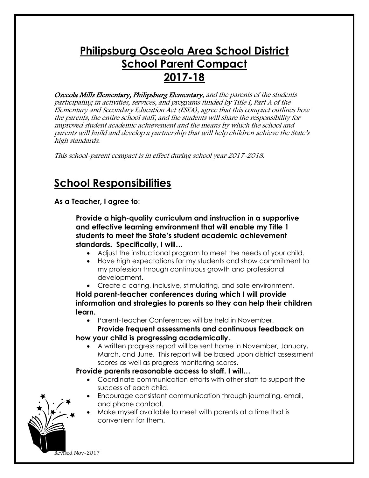## **Philipsburg Osceola Area School District School Parent Compact 2017-18**

Osceola Mills Elementary, Philipsburg Elementary, and the parents of the students participating in activities, services, and programs funded by Title I, Part A of the Elementary and Secondary Education Act (ESEA), agree that this compact outlines how the parents, the entire school staff, and the students will share the responsibility for improved student academic achievement and the means by which the school and parents will build and develop a partnership that will help children achieve the State's high standards.

This school-parent compact is in effect during school year 2017-2018.

### **School Responsibilities**

**As a Teacher, I agree to**:

**Provide a high-quality curriculum and instruction in a supportive and effective learning environment that will enable my Title 1 students to meet the State's student academic achievement standards. Specifically, I will…**

- Adjust the instructional program to meet the needs of your child.
- Have high expectations for my students and show commitment to my profession through continuous growth and professional development.
- Create a caring, inclusive, stimulating, and safe environment.

**Hold parent-teacher conferences during which I will provide information and strategies to parents so they can help their children learn.**

Parent-Teacher Conferences will be held in November.

 **Provide frequent assessments and continuous feedback on how your child is progressing academically.**

 A written progress report will be sent home in November, January, March, and June. This report will be based upon district assessment scores as well as progress monitoring scores.

**Provide parents reasonable access to staff. I will…**

- Coordinate communication efforts with other staff to support the success of each child.
- Encourage consistent communication through journaling, email, and phone contact.
- Make myself available to meet with parents at a time that is convenient for them.

Revised Nov-2017